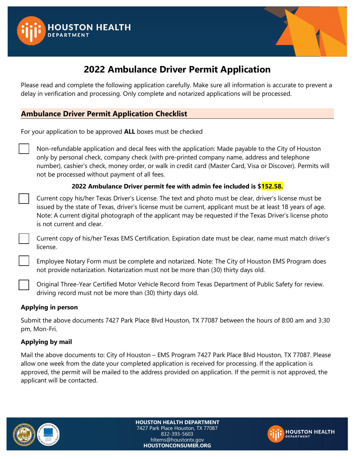



# **2022 Ambulance Driver Permit Application**

Please read and complete the following application carefully. Make sure all information is accurate to prevent a delay in verification and processing. Only complete and notarized applications will be processed.

### **Ambulance Driver Permit Application Checklist**

For your application to be approved **ALL** boxes must be checked

Non-refundable application and decal fees with the application: Made payable to the City of Houston only by personal check, company check (with pre-printed company name, address and telephone number), cashier's check, money order, or walk in credit card (Master Card, Visa or Discover). Permits will not be processed without payment of all fees.

#### **2022 Ambulance Driver permit fee with admin fee included is \$152.58.**

☐ Current copy his/her Texas Driver's License. The text and photo must be clear, driver's license must be issued by the state of Texas, driver's license must be current, applicant must be at least 18 years of age. Note: A current digital photograph of the applicant may be requested if the Texas Driver's license photo is not current and clear.

☐ Current copy of his/her Texas EMS Certification. Expiration date must be clear, name must match driver's license.

Employee Notary Form must be complete and notarized. Note: The City of Houston EMS Program does not provide notarization. Notarization must not be more than (30) thirty days old.

☐ Original Three-Year Certified Motor Vehicle Record from Texas Department of Public Safety for review. driving record must not be more than (30) thirty days old.

#### **Applying in person**

Submit the above documents 7427 Park Place Blvd Houston, TX 77087 between the hours of 8:00 am and 3:30 pm, Mon-Fri.

#### **Applying by mail**

Mail the above documents to: City of Houston – EMS Program 7427 Park Place Blvd Houston, TX 77087. Please allow one week from the date your completed application is received for processing. If the application is approved, the permit will be mailed to the address provided on application. If the permit is not approved, the applicant will be contacted.



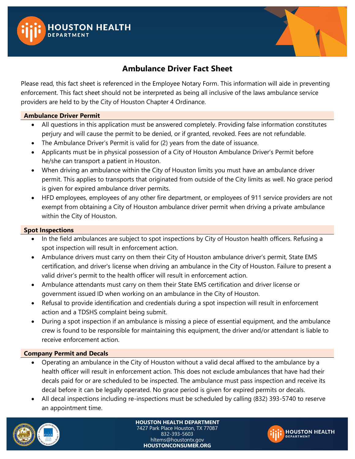



### **Ambulance Driver Fact Sheet**

Please read, this fact sheet is referenced in the Employee Notary Form. This information will aide in preventing enforcement. This fact sheet should not be interpreted as being all inclusive of the laws ambulance service providers are held to by the City of Houston Chapter 4 Ordinance.

#### **Ambulance Driver Permit**

- All questions in this application must be answered completely. Providing false information constitutes perjury and will cause the permit to be denied, or if granted, revoked. Fees are not refundable.
- The Ambulance Driver's Permit is valid for (2) years from the date of issuance.
- Applicants must be in physical possession of a City of Houston Ambulance Driver's Permit before he/she can transport a patient in Houston.
- When driving an ambulance within the City of Houston limits you must have an ambulance driver permit. This applies to transports that originated from outside of the City limits as well. No grace period is given for expired ambulance driver permits.
- HFD employees, employees of any other fire department, or employees of 911 service providers are not exempt from obtaining a City of Houston ambulance driver permit when driving a private ambulance within the City of Houston.

#### **Spot Inspections**

- In the field ambulances are subject to spot inspections by City of Houston health officers. Refusing a spot inspection will result in enforcement action.
- Ambulance drivers must carry on them their City of Houston ambulance driver's permit, State EMS certification, and driver's license when driving an ambulance in the City of Houston. Failure to present a valid driver's permit to the health officer will result in enforcement action.
- Ambulance attendants must carry on them their State EMS certification and driver license or government issued ID when working on an ambulance in the City of Houston.
- Refusal to provide identification and credentials during a spot inspection will result in enforcement action and a TDSHS complaint being submit.
- During a spot inspection if an ambulance is missing a piece of essential equipment, and the ambulance crew is found to be responsible for maintaining this equipment, the driver and/or attendant is liable to receive enforcement action.

#### **Company Permit and Decals**

- Operating an ambulance in the City of Houston without a valid decal affixed to the ambulance by a health officer will result in enforcement action. This does not exclude ambulances that have had their decals paid for or are scheduled to be inspected. The ambulance must pass inspection and receive its decal before it can be legally operated. No grace period is given for expired permits or decals.
- All decal inspections including re-inspections must be scheduled by calling (832) 393-5740 to reserve an appointment time.



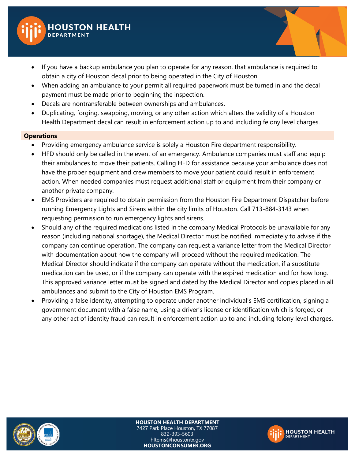

- If you have a backup ambulance you plan to operate for any reason, that ambulance is required to obtain a city of Houston decal prior to being operated in the City of Houston
- When adding an ambulance to your permit all required paperwork must be turned in and the decal payment must be made prior to beginning the inspection.
- Decals are nontransferable between ownerships and ambulances.
- Duplicating, forging, swapping, moving, or any other action which alters the validity of a Houston Health Department decal can result in enforcement action up to and including felony level charges.

#### **Operations**

- Providing emergency ambulance service is solely a Houston Fire department responsibility.
- HFD should only be called in the event of an emergency. Ambulance companies must staff and equip their ambulances to move their patients. Calling HFD for assistance because your ambulance does not have the proper equipment and crew members to move your patient could result in enforcement action. When needed companies must request additional staff or equipment from their company or another private company.
- EMS Providers are required to obtain permission from the Houston Fire Department Dispatcher before running Emergency Lights and Sirens within the city limits of Houston. Call 713-884-3143 when requesting permission to run emergency lights and sirens.
- Should any of the required medications listed in the company Medical Protocols be unavailable for any reason (including national shortage), the Medical Director must be notified immediately to advise if the company can continue operation. The company can request a variance letter from the Medical Director with documentation about how the company will proceed without the required medication. The Medical Director should indicate if the company can operate without the medication, if a substitute medication can be used, or if the company can operate with the expired medication and for how long. This approved variance letter must be signed and dated by the Medical Director and copies placed in all ambulances and submit to the City of Houston EMS Program.
- Providing a false identity, attempting to operate under another individual's EMS certification, signing a government document with a false name, using a driver's license or identification which is forged, or any other act of identity fraud can result in enforcement action up to and including felony level charges.



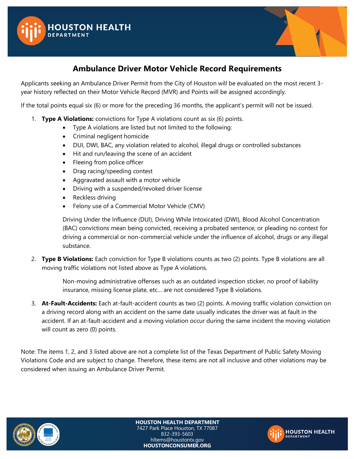



### **Ambulance Driver Motor Vehicle Record Requirements**

Applicants seeking an Ambulance Driver Permit from the City of Houston will be evaluated on the most recent 3 year history reflected on their Motor Vehicle Record (MVR) and Points will be assigned accordingly.

If the total points equal six (6) or more for the preceding 36 months, the applicant's permit will not be issued.

- 1. **Type A Violations:** convictions for Type A violations count as six (6) points.
	- Type A violations are listed but not limited to the following:
	- Criminal negligent homicide
	- DUI, DWI, BAC, any violation related to alcohol, illegal drugs or controlled substances
	- Hit and run/leaving the scene of an accident
	- Fleeing from police officer
	- Drag racing/speeding contest
	- Aggravated assault with a motor vehicle
	- Driving with a suspended/revoked driver license
	- Reckless driving
	- Felony use of a Commercial Motor Vehicle (CMV)

Driving Under the Influence (DUI), Driving While Intoxicated (DWI), Blood Alcohol Concentration (BAC) convictions mean being convicted, receiving a probated sentence, or pleading no contest for driving a commercial or non-commercial vehicle under the influence of alcohol, drugs or any illegal substance.

2. **Type B Violations:** Each conviction for Type B violations counts as two (2) points. Type B violations are all moving traffic violations not listed above as Type A violations.

> Non-moving administrative offenses such as an outdated inspection sticker, no proof of liability insurance, missing license plate, etc… are not considered Type B violations.

3. **At-Fault-Accidents:** Each at-fault-accident counts as two (2) points. A moving traffic violation conviction on a driving record along with an accident on the same date usually indicates the driver was at fault in the accident. If an at-fault-accident and a moving violation occur during the same incident the moving violation will count as zero (0) points.

Note: The items 1, 2, and 3 listed above are not a complete list of the Texas Department of Public Safety Moving Violations Code and are subject to change. Therefore, these items are not all inclusive and other violations may be considered when issuing an Ambulance Driver Permit.



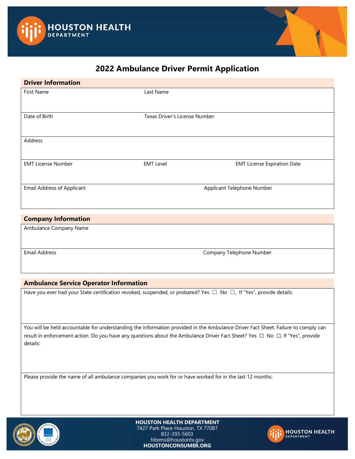



### **2022 Ambulance Driver Permit Application**

| <b>Driver Information</b>         |                               |                                    |
|-----------------------------------|-------------------------------|------------------------------------|
| First Name                        | Last Name                     |                                    |
|                                   |                               |                                    |
| Date of Birth                     | Texas Driver's License Number |                                    |
|                                   |                               |                                    |
| Address                           |                               |                                    |
|                                   |                               |                                    |
| <b>EMT License Number</b>         | <b>EMT Level</b>              | <b>EMT License Expiration Date</b> |
| <b>Email Address of Applicant</b> | Applicant Telephone Number    |                                    |
|                                   |                               |                                    |
|                                   |                               |                                    |
| <b>Company Information</b>        |                               |                                    |
| Ambulance Company Name            |                               |                                    |

Email Address **Company Telephone Number** Company Telephone Number

#### **Ambulance Service Operator Information**

Have you ever had your State certification revoked, suspended, or probated? Yes □ No □, If "Yes", provide details:

You will be held accountable for understanding the information provided in the Ambulance Driver Fact Sheet. Failure to comply can result in enforcement action. Do you have any questions about the Ambulance Driver Fact Sheet? Yes □ No □, If "Yes", provide details:

Please provide the name of all ambulance companies you work for or have worked for in the last 12 months: